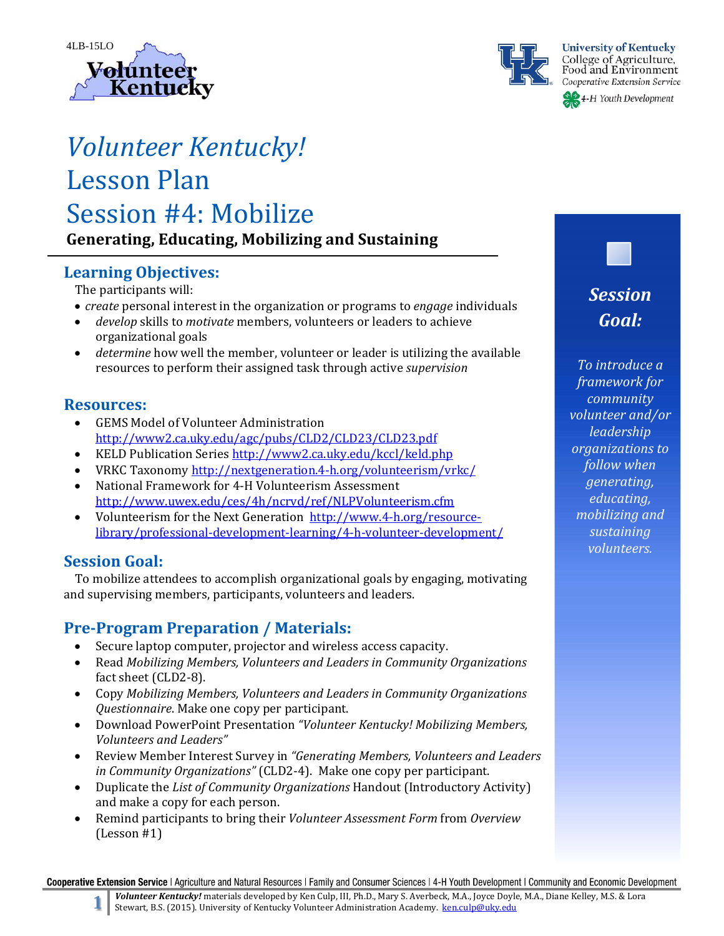



# *Volunteer Kentucky!* Lesson Plan Session #4: Mobilize **Generating, Educating, Mobilizing and Sustaining**

# **Learning Objectives:**

The participants will:

- *create* personal interest in the organization or programs to *engage* individuals
- *develop* skills to *motivate* members, volunteers or leaders to achieve organizational goals
- *determine* how well the member, volunteer or leader is utilizing the available resources to perform their assigned task through active *supervision*

# **Resources:**

- GEMS Model of Volunteer Administration http://www2.ca.uky.edu/agc/pubs/CLD2/CLD23/CLD23.pdf
- KELD Publication Series http://www2.ca.uky.edu/kccl/keld.php
- VRKC Taxonomy http://nextgeneration.4-h.org/volunteerism/vrkc/
- National Framework for 4-H Volunteerism Assessment http://www.uwex.edu/ces/4h/ncrvd/ref/NLPVolunteerism.cfm
- Volunteerism for the Next Generation http://www.4-h.org/resourcelibrary/professional‐development‐learning/4‐h‐volunteer‐development/

# **Session Goal:**

To mobilize attendees to accomplish organizational goals by engaging, motivating and supervising members, participants, volunteers and leaders.

# **Pre‐Program Preparation / Materials:**

- Secure laptop computer, projector and wireless access capacity.
- Read *Mobilizing Members, Volunteers and Leaders in Community Organizations* fact sheet (CLD2-8).
- Copy *Mobilizing Members, Volunteers and Leaders in Community Organizations Questionnaire*. Make one copy per participant.
- Download PowerPoint Presentation *"Volunteer Kentucky! Mobilizing Members, Volunteers and Leaders"*
- Review Member Interest Survey in *"Generating Members, Volunteers and Leaders in Community Organizations"* (CLD2-4). Make one copy per participant.
- Duplicate the *List of Community Organizations* Handout (Introductory Activity) and make a copy for each person.
- Remind participants to bring their *Volunteer Assessment Form* from *Overview*  $(Lesson #1)$

*Session Goal:*

*To introduce a framework for community volunteer and/or leadership organizations to follow when generating, educating, mobilizing and sustaining volunteers.*

Cooperative Extension Service | Agriculture and Natural Resources | Family and Consumer Sciences | 4-H Youth Development | Community and Economic Development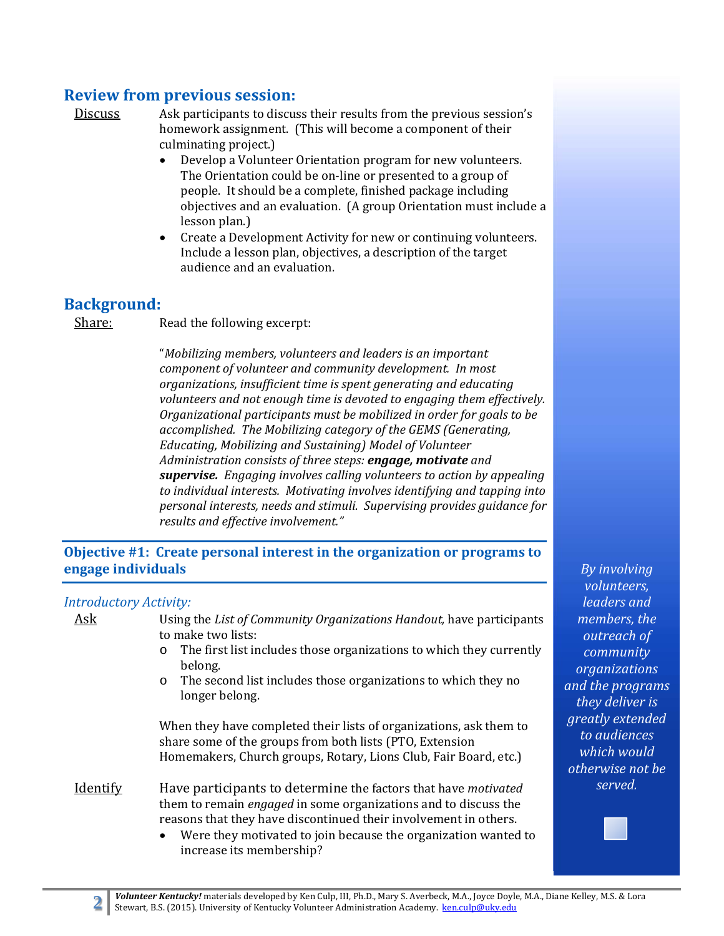# **Review from previous session:**

Discuss Ask participants to discuss their results from the previous session's homework assignment. (This will become a component of their culminating project.)

- Develop a Volunteer Orientation program for new volunteers. The Orientation could be on-line or presented to a group of people. It should be a complete, finished package including objectives and an evaluation. (A group Orientation must include a lesson plan.)
- Create a Development Activity for new or continuing volunteers. Include a lesson plan, objectives, a description of the target audience and an evaluation.

# **Background:**

Share: Read the following excerpt:

"*Mobilizing members, volunteers and leaders is an important component of volunteer and community development. In most organizations, insufficient time is spent generating and educating volunteers and not enough time is devoted to engaging them effectively. Organizational participants must be mobilized in order for goals to be accomplished. The Mobilizing category of the GEMS (Generating, Educating, Mobilizing and Sustaining) Model of Volunteer Administration consists of three steps: engage, motivate and supervise. Engaging involves calling volunteers to action by appealing to individual interests. Motivating involves identifying and tapping into personal interests, needs and stimuli. Supervising provides guidance for results and effective involvement."*

### **Objective #1: Create personal interest in the organization or programs to engage individuals**

#### *Introductory Activity:*

| <b>Ask</b>      | Using the List of Community Organizations Handout, have participants<br>to make two lists:<br>The first list includes those organizations to which they currently<br>$\circ$<br>belong.<br>The second list includes those organizations to which they no<br>$\circ$<br>longer belong.                                   | memb<br>outre<br>comn<br>organi<br>and the $\overline{a}$<br>they do |
|-----------------|-------------------------------------------------------------------------------------------------------------------------------------------------------------------------------------------------------------------------------------------------------------------------------------------------------------------------|----------------------------------------------------------------------|
|                 | When they have completed their lists of organizations, ask them to<br>share some of the groups from both lists (PTO, Extension<br>Homemakers, Church groups, Rotary, Lions Club, Fair Board, etc.)                                                                                                                      | greatly<br>to auc<br>which<br>otherwi                                |
| <b>Identify</b> | Have participants to determine the factors that have motivated<br>them to remain <i>engaged</i> in some organizations and to discuss the<br>reasons that they have discontinued their involvement in others.<br>Were they motivated to join because the organization wanted to<br>$\bullet$<br>increase its membership? | ser                                                                  |

*volunteers, leaders and members, the <u>ach</u> of community zations and the programs they deliver is extended diences which would otherwise not be served.*

*By involving*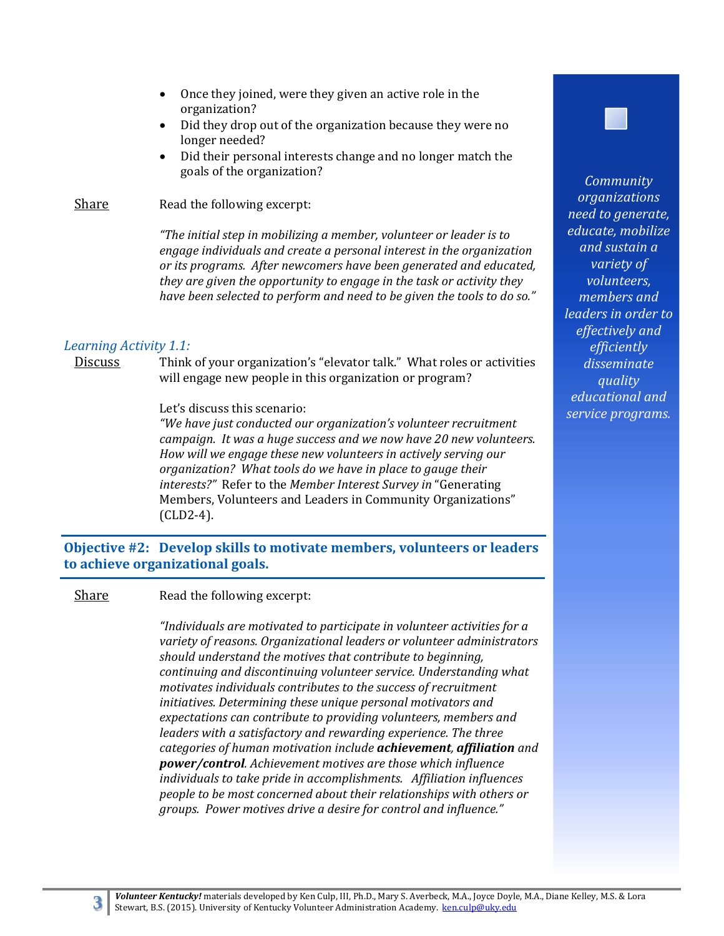- Once they joined, were they given an active role in the organization?
- Did they drop out of the organization because they were no longer needed?
- Did their personal interests change and no longer match the goals of the organization?

#### Share Read the following excerpt:

*"The initial step in mobilizing a member, volunteer or leader is to engage individuals and create a personal interest in the organization or its programs. After newcomers have been generated and educated, they are given the opportunity to engage in the task or activity they have been selected to perform and need to be given the tools to do so."*

#### *Learning Activity 1.1:*

Discuss Think of your organization's "elevator talk." What roles or activities will engage new people in this organization or program?

#### Let's discuss this scenario:

*"We have just conducted our organization's volunteer recruitment campaign. It was a huge success and we now have 20 new volunteers. How will we engage these new volunteers in actively serving our organization? What tools do we have in place to gauge their interests?"* Refer to the *Member Interest Survey in* "Generating Members, Volunteers and Leaders in Community Organizations" (CLD2‐4). 

**Objective #2: Develop skills to motivate members, volunteers or leaders to achieve organizational goals.**

#### **Share** Read the following excerpt:

*"Individuals are motivated to participate in volunteer activities for a variety of reasons. Organizational leaders or volunteer administrators should understand the motives that contribute to beginning, continuing and discontinuing volunteer service. Understanding what motivates individuals contributes to the success of recruitment initiatives. Determining these unique personal motivators and expectations can contribute to providing volunteers, members and leaders with a satisfactory and rewarding experience. The three categories of human motivation include achievement, affiliation and power/control. Achievement motives are those which influence individuals to take pride in accomplishments. Affiliation influences people to be most concerned about their relationships with others or groups. Power motives drive a desire for control and influence."*

*Community organizations need to generate, educate, mobilize and sustain a variety of volunteers, members and leaders in order to effectively and efficiently disseminate quality educational and service programs.*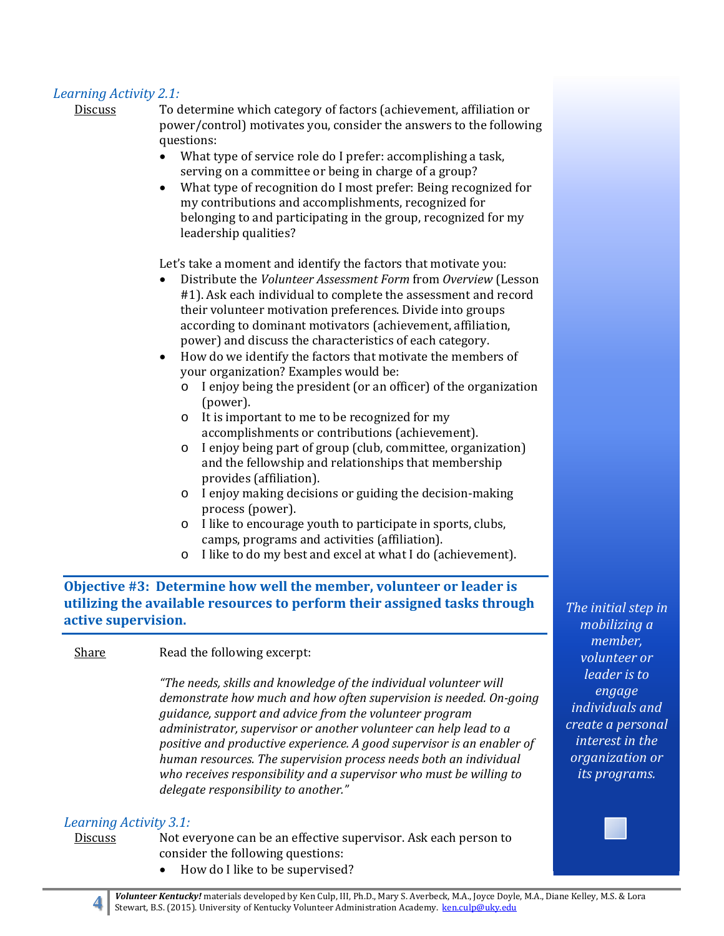#### *Learning Activity 2.1:*

Discuss To determine which category of factors (achievement, affiliation or power/control) motivates you, consider the answers to the following questions: 

- What type of service role do I prefer: accomplishing a task, serving on a committee or being in charge of a group?
- What type of recognition do I most prefer: Being recognized for my contributions and accomplishments, recognized for belonging to and participating in the group, recognized for my leadership qualities?

Let's take a moment and identify the factors that motivate you:

- Distribute the *Volunteer Assessment Form* from *Overview* (Lesson #1). Ask each individual to complete the assessment and record their volunteer motivation preferences. Divide into groups according to dominant motivators (achievement, affiliation, power) and discuss the characteristics of each category.
- How do we identify the factors that motivate the members of your organization? Examples would be:
	- $\circ$  I enjoy being the president (or an officer) of the organization (power).
	- $\circ$  It is important to me to be recognized for my accomplishments or contributions (achievement).
	- o I enjoy being part of group (club, committee, organization) and the fellowship and relationships that membership provides (affiliation).
	- o I enjoy making decisions or guiding the decision-making process (power).
	- $\circ$  I like to encourage youth to participate in sports, clubs, camps, programs and activities (affiliation).
	- $\circ$  I like to do my best and excel at what I do (achievement).

**Objective #3: Determine how well the member, volunteer or leader is utilizing the available resources to perform their assigned tasks through active supervision.**

Share **Read** the following excerpt:

*"The needs, skills and knowledge of the individual volunteer will demonstrate how much and how often supervision is needed. On‐going guidance, support and advice from the volunteer program administrator, supervisor or another volunteer can help lead to a positive and productive experience. A good supervisor is an enabler of human resources. The supervision process needs both an individual who receives responsibility and a supervisor who must be willing to delegate responsibility to another."*

#### *Learning Activity 3.1:*

 $\overline{a}$ 

- Discuss Not everyone can be an effective supervisor. Ask each person to consider the following questions:
	- How do I like to be supervised?

*The initial step in mobilizing a member, volunteer or leader is to engage individuals and create a personal interest in the organization or its programs.*

Volunteer Kentucky! materials developed by Ken Culp, III, Ph.D., Mary S. Averbeck, M.A., Joyce Doyle, M.A., Diane Kelley, M.S. & Lora Stewart, B.S. (2015). University of Kentucky Volunteer Administration Academy. ken.culp@uky.edu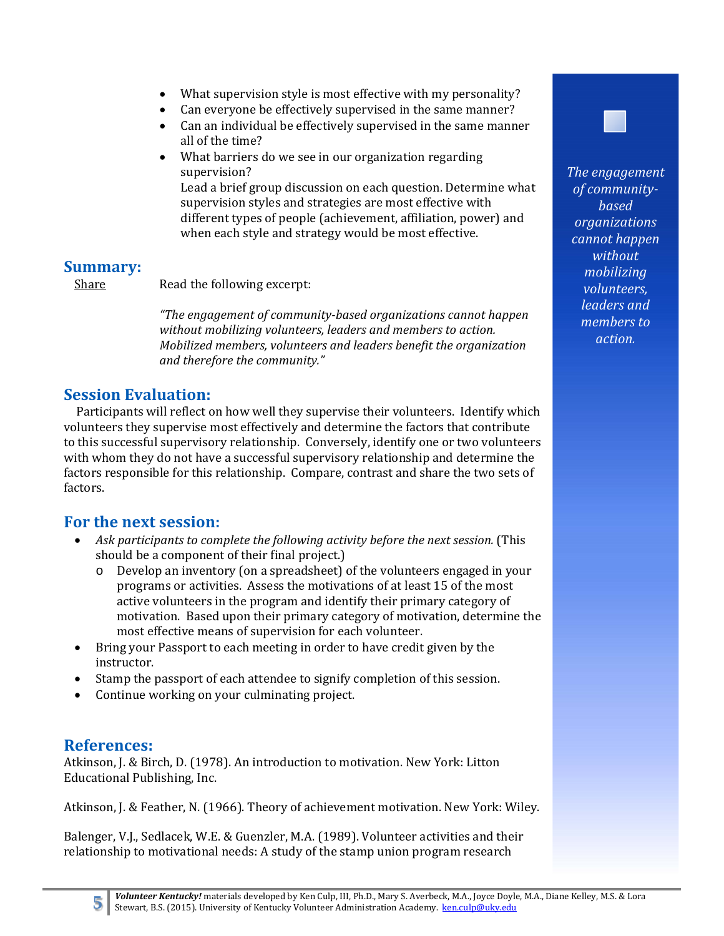- What supervision style is most effective with my personality?
- Can everyone be effectively supervised in the same manner?
- Can an individual be effectively supervised in the same manner all of the time?
- What barriers do we see in our organization regarding supervision? Lead a brief group discussion on each question. Determine what supervision styles and strategies are most effective with different types of people (achievement, affiliation, power) and when each style and strategy would be most effective.

# **Summary:**

Share Read the following excerpt:

*"The engagement of community‐based organizations cannot happen without mobilizing volunteers, leaders and members to action. Mobilized members, volunteers and leaders benefit the organization and therefore the community."*

# **Session Evaluation:**

Participants will reflect on how well they supervise their volunteers. Identify which volunteers they supervise most effectively and determine the factors that contribute to this successful supervisory relationship. Conversely, identify one or two volunteers with whom they do not have a successful supervisory relationship and determine the factors responsible for this relationship. Compare, contrast and share the two sets of factors. 

# **For the next session:**

- *Ask participants to complete the following activity before the next session.* (This should be a component of their final project.)
	- o Develop an inventory (on a spreadsheet) of the volunteers engaged in your programs or activities. Assess the motivations of at least 15 of the most active volunteers in the program and identify their primary category of motivation. Based upon their primary category of motivation, determine the most effective means of supervision for each volunteer.
- Bring your Passport to each meeting in order to have credit given by the instructor.
- Stamp the passport of each attendee to signify completion of this session.
- Continue working on your culminating project.

# **References:**

Atkinson, J. & Birch, D. (1978). An introduction to motivation. New York: Litton Educational Publishing, Inc.

Atkinson, J. & Feather, N. (1966). Theory of achievement motivation. New York: Wiley.

Balenger, V.J., Sedlacek, W.E. & Guenzler, M.A. (1989). Volunteer activities and their relationship to motivational needs: A study of the stamp union program research



Volunteer Kentucky! materials developed by Ken Culp, III, Ph.D., Mary S. Averbeck, M.A., Joyce Doyle, M.A., Diane Kelley, M.S. & Lora Stewart, B.S. (2015). University of Kentucky Volunteer Administration Academy. ken.culp@uky.edu